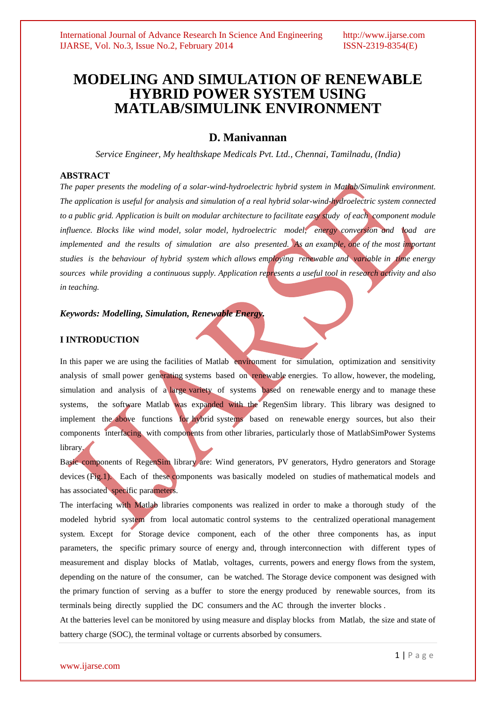# **MODELING AND SIMULATION OF RENEWABLE HYBRID POWER SYSTEM USING MATLAB/SIMULINK ENVIRONMENT**

## **D. Manivannan**

*Service Engineer, My healthskape Medicals Pvt. Ltd., Chennai, Tamilnadu, (India)*

## **ABSTRACT**

*The paper presents the modeling of a solar-wind-hydroelectric hybrid system in Matlab/Simulink environment. The application is useful for analysis and simulation of a real hybrid solar-wind-hydroelectric system connected to a public grid. Application is built on modular architecture to facilitate easy study of each component module influence. Blocks like wind model, solar model, hydroelectric model, energy conversion and load are implemented and the results of simulation are also presented. As an example, one of the most important studies is the behaviour of hybrid system which allows employing renewable and variable in time energy sources while providing a continuous supply. Application represents a useful tool in research activity and also in teaching.*

## *Keywords: Modelling, Simulation, Renewable Energy.*

## **I INTRODUCTION**

In this paper we are using the facilities of Matlab environment for simulation, optimization and sensitivity analysis of small power generating systems based on renewable energies. To allow, however, the modeling, simulation and analysis of a large variety of systems based on renewable energy and to manage these systems, the software Matlab was expanded with the RegenSim library. This library was designed to implement the above functions for hybrid systems based on renewable energy sources, but also their components interfacing with components from other libraries, particularly those of MatlabSimPower Systems library.

Basic components of RegenSim library are: Wind generators, PV generators, Hydro generators and Storage devices (Fig.1). Each of these components was basically modeled on studies of mathematical models and has associated specific parameters.

The interfacing with Matlab libraries components was realized in order to make a thorough study of the modeled hybrid system from local automatic control systems to the centralized operational management system. Except for Storage device component, each of the other three components has, as input parameters, the specific primary source of energy and, through interconnection with different types of measurement and display blocks of Matlab, voltages, currents, powers and energy flows from the system, depending on the nature of the consumer, can be watched. The Storage device component was designed with the primary function of serving as a buffer to store the energy produced by renewable sources, from its terminals being directly supplied the DC consumers and the AC through the inverter blocks .

At the batteries level can be monitored by using measure and display blocks from Matlab, the size and state of battery charge (SOC), the terminal voltage or currents absorbed by consumers.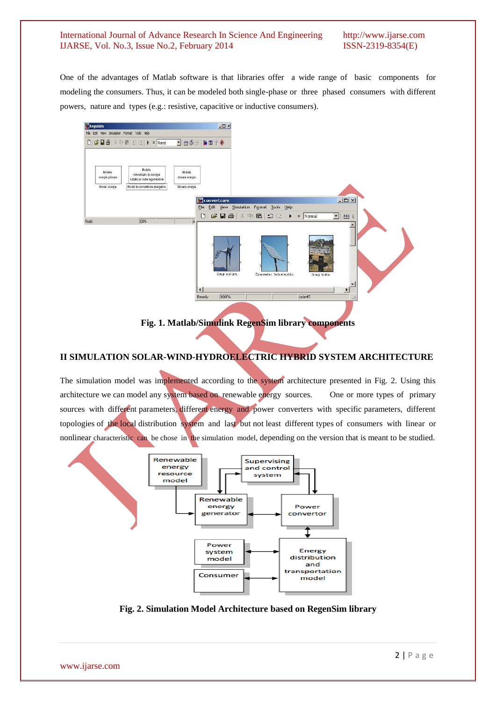One of the advantages of Matlab software is that libraries offer a wide range of basic components for modeling the consumers. Thus, it can be modeled both single-phase or three phased consumers with different powers, nature and types (e.g.: resistive, capacitive or inductive consumers).



**Fig. 1. Matlab/Simulink RegenSim library components**

## **II SIMULATION SOLAR-WIND-HYDROELECTRIC HYBRID SYSTEM ARCHITECTURE**

The simulation model was implemented according to the system architecture presented in Fig. 2. Using this architecture we can model any system based on renewable energy sources. One or more types of primary sources with different parameters, different energy and power converters with specific parameters, different topologies of the local distribution system and last but not least different types of consumers with linear or nonlinear characteristic can be chose in the simulation model, depending on the version that is meant to be studied.



**Fig. 2. Simulation Model Architecture based on RegenSim library**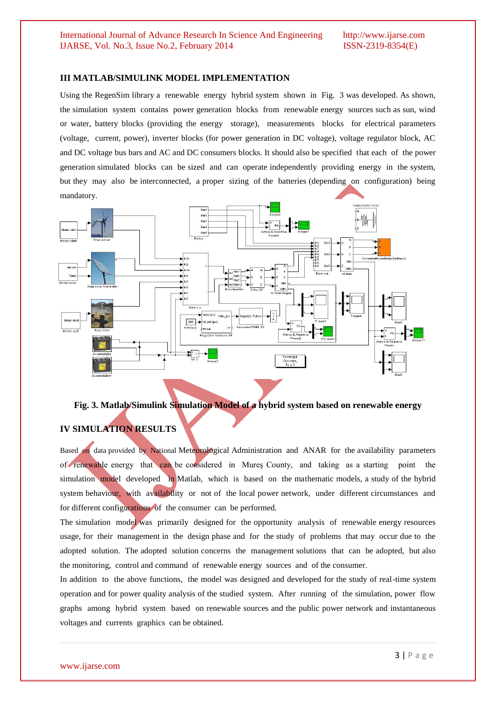### **III MATLAB/SIMULINK MODEL IMPLEMENTATION**

Using the RegenSim library a renewable energy hybrid system shown in Fig. 3 was developed. As shown, the simulation system contains power generation blocks from renewable energy sources such as sun, wind or water, battery blocks (providing the energy storage), measurements blocks for electrical parameters (voltage, current, power), inverter blocks (for power generation in DC voltage), voltage regulator block, AC and DC voltage bus bars and AC and DC consumers blocks. It should also be specified that each of the power generation simulated blocks can be sized and can operate independently providing energy in the system, but they may also be interconnected, a proper sizing of the batteries (depending on configuration) being mandatory.



**Fig. 3. Matlab/Simulink Simulation Model of a hybrid system based on renewable energy**

## **IV SIMULATION RESULTS**

Based on data provided by National Meteorological Administration and ANAR for the availability parameters of renewable energy that can be considered in Mureş County, and taking as a starting point the simulation model developed in Matlab, which is based on the mathematic models, a study of the hybrid system behaviour, with availability or not of the local power network, under different circumstances and for different configurations of the consumer can be performed.

The simulation model was primarily designed for the opportunity analysis of renewable energy resources usage, for their management in the design phase and for the study of problems that may occur due to the adopted solution. The adopted solution concerns the management solutions that can be adopted, but also the monitoring, control and command of renewable energy sources and of the consumer.

In addition to the above functions, the model was designed and developed for the study of real-time system operation and for power quality analysis of the studied system. After running of the simulation, power flow graphs among hybrid system based on renewable sources and the public power network and instantaneous voltages and currents graphics can be obtained.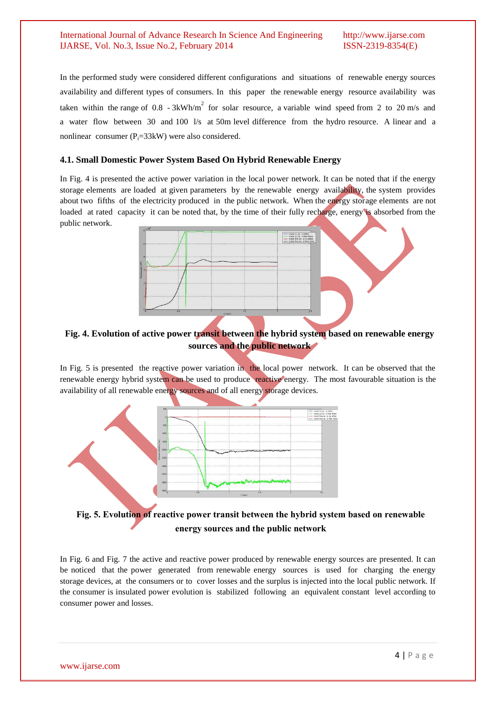In the performed study were considered different configurations and situations of renewable energy sources availability and different types of consumers. In this paper the renewable energy resource availability was taken within the range of 0.8 - 3kWh/m<sup>2</sup> for solar resource, a variable wind speed from 2 to 20 m/s and a water flow between 30 and 100 l/s at 50m level difference from the hydro resource. A linear and a nonlinear consumer ( $P_i = 33k$ W) were also considered.

## **4.1. Small Domestic Power System Based On Hybrid Renewable Energy**

In Fig. 4 is presented the active power variation in the local power network. It can be noted that if the energy storage elements are loaded at given parameters by the renewable energy availability, the system provides about two fifths of the electricity produced in the public network. When the energy storage elements are not loaded at rated capacity it can be noted that, by the time of their fully recharge, energy is absorbed from the public network.



## **Fig. 4. Evolution of active power transit between the hybrid system based on renewable energy sources and the public network**

In Fig. 5 is presented the reactive power variation in the local power network. It can be observed that the renewable energy hybrid system can be used to produce reactive energy. The most favourable situation is the availability of all renewable energy sources and of all energy storage devices.



## **Fig. 5. Evolution of reactive power transit between the hybrid system based on renewable energy sources and the public network**

In Fig. 6 and Fig. 7 the active and reactive power produced by renewable energy sources are presented. It can be noticed that the power generated from renewable energy sources is used for charging the energy storage devices, at the consumers or to cover losses and the surplus is injected into the local public network. If the consumer is insulated power evolution is stabilized following an equivalent constant level according to consumer power and losses.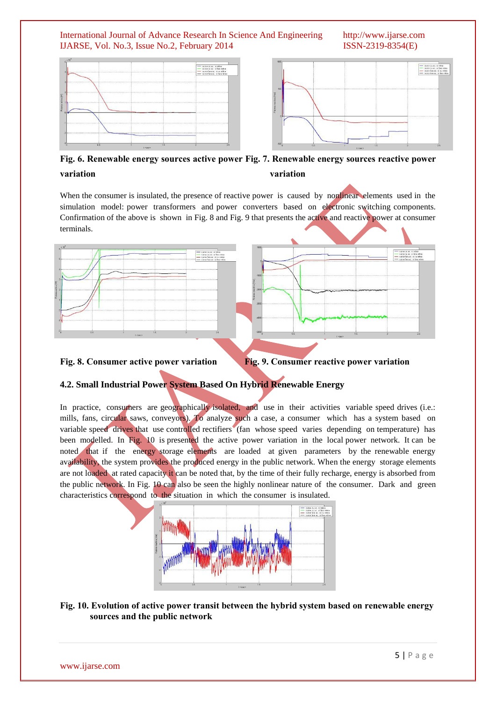

**Fig. 6. Renewable energy sources active power Fig. 7. Renewable energy sources reactive power variation variation**

When the consumer is insulated, the presence of reactive power is caused by nonlinear elements used in the simulation model: power transformers and power converters based on electronic switching components. Confirmation of the above is shown in Fig. 8 and Fig. 9 that presents the active and reactive power at consumer terminals.



## **Fig. 8. Consumer active power variation Fig. 9. Consumer reactive power variation**

## **4.2. Small Industrial Power System Based On Hybrid Renewable Energy**

In practice, consumers are geographically isolated, and use in their activities variable speed drives (i.e.: mills, fans, circular saws, conveyors). To analyze such a case, a consumer which has a system based on variable speed drives that use controlled rectifiers (fan whose speed varies depending on temperature) has been modelled. In Fig. 10 is presented the active power variation in the local power network. It can be noted that if the energy storage elements are loaded at given parameters by the renewable energy availability, the system provides the produced energy in the public network. When the energy storage elements are not loaded at rated capacity it can be noted that, by the time of their fully recharge, energy is absorbed from the public network. In Fig. 10 can also be seen the highly nonlinear nature of the consumer. Dark and green characteristics correspond to the situation in which the consumer is insulated.



## **Fig. 10. Evolution of active power transit between the hybrid system based on renewable energy sources and the public network**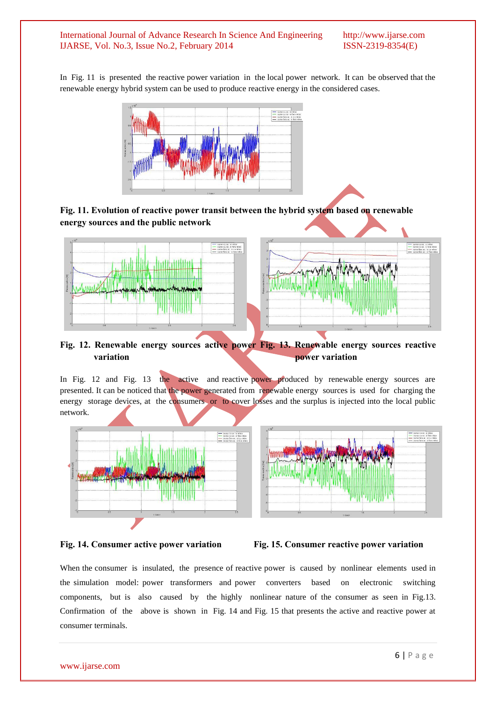In Fig. 11 is presented the reactive power variation in the local power network. It can be observed that the renewable energy hybrid system can be used to produce reactive energy in the considered cases.



**Fig. 11. Evolution of reactive power transit between the hybrid system based on renewable energy sources and the public network**



## **Fig. 12. Renewable energy sources active power Fig. 13. Renewable energy sources reactive variation power variation**

In Fig. 12 and Fig. 13 the active and reactive power produced by renewable energy sources are presented. It can be noticed that the power generated from renewable energy sources is used for charging the energy storage devices, at the consumers or to cover losses and the surplus is injected into the local public network.







#### **Fig. 14. Consumer active power variation Fig. 15. Consumer reactive power variation**

When the consumer is insulated, the presence of reactive power is caused by nonlinear elements used in the simulation model: power transformers and power converters based on electronic switching components, but is also caused by the highly nonlinear nature of the consumer as seen in Fig.13. Confirmation of the above is shown in Fig. 14 and Fig. 15 that presents the active and reactive power at consumer terminals.